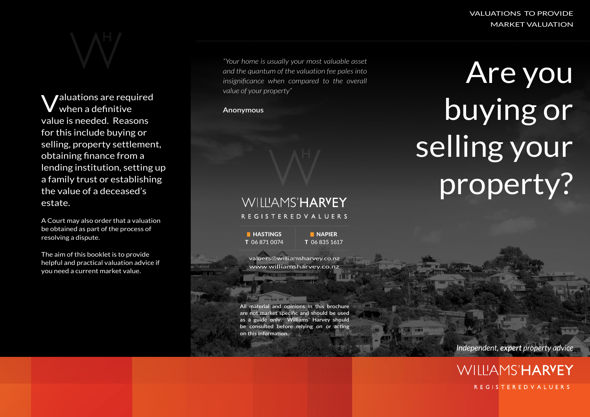VALUATIONS TO PROVIDE MARKET VALUATION

Valuations are required when a definitive value is needed. Reasons for this include buying or selling, property settlement, obtaining finance from a lending institution, setting up a family trust or establishing the value of a deceased's estate.

A Court may also order that a valuation be obtained as part of the process of resolving a dispute.

The aim of this booklet is to provide helpful and practical valuation advice if you need a current market value.

*"Your home is usually your most valuable asset and the quantum of the valuation fee pales into insignificance when compared to the overall value of your property"*

**Anonymous**

## WILLIAMS'HARVEY REGISTERED VALUERS

**HASTINGS** T 06 871 0074

**NAPIER** T 06 835 1617

valuers@williamsharvey.co.nz www.williamsharvey.co.nz

**All material and opinions in this brochure are not market specific and should be used as a guide only. Williams' Harvey should be consulted before relying on or acting on this information**.

Are you buying or selling your property?

*Independent, expert property advice*

**WILLIAMS'HARYEY REGISTEREDVALUERS**